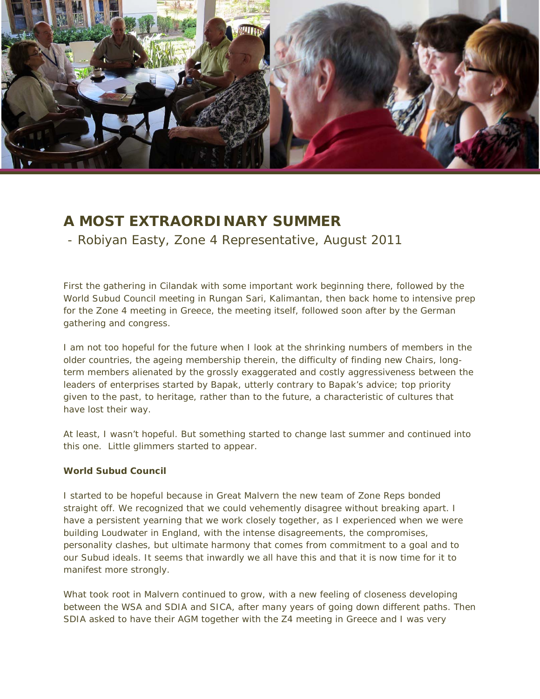

## **A MOST EXTRAORDINARY SUMMER**

*- Robiyan Easty, Zone 4 Representative, August 2011*

First the gathering in Cilandak with some important work beginning there, followed by the World Subud Council meeting in Rungan Sari, Kalimantan, then back home to intensive prep for the Zone 4 meeting in Greece, the meeting itself, followed soon after by the German gathering and congress.

I am not too hopeful for the future when I look at the shrinking numbers of members in the older countries, the ageing membership therein, the difficulty of finding new Chairs, longterm members alienated by the grossly exaggerated and costly aggressiveness between the leaders of enterprises started by Bapak, utterly contrary to Bapak's advice; top priority given to the past, to heritage, rather than to the future, a characteristic of cultures that have lost their way.

At least, I *wasn't* hopeful. But something started to change last summer and continued into this one. Little glimmers started to appear.

## **World Subud Council**

I started to be hopeful because in Great Malvern the new team of Zone Reps bonded straight off. We recognized that we could vehemently disagree without breaking apart. I have a persistent yearning that we work closely together, as I experienced when we were building Loudwater in England, with the intense disagreements, the compromises, personality clashes, but ultimate harmony that comes from commitment to a goal and to our Subud ideals. It seems that inwardly we all have this and that it is now time for it to manifest more strongly.

What took root in Malvern continued to grow, with a new feeling of closeness developing between the WSA and SDIA and SICA, after many years of going down different paths. Then SDIA asked to have their AGM together with the Z4 meeting in Greece and I was very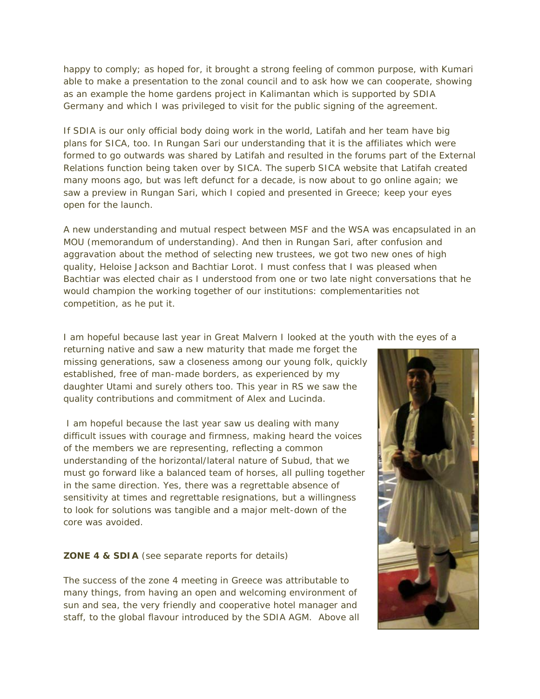happy to comply; as hoped for, it brought a strong feeling of common purpose, with Kumari able to make a presentation to the zonal council and to ask how we can cooperate, showing as an example the home gardens project in Kalimantan which is supported by SDIA Germany and which I was privileged to visit for the public signing of the agreement.

If SDIA is our only official body doing work in the world, Latifah and her team have big plans for SICA, too. In Rungan Sari our understanding that it is the affiliates which were formed to go outwards was shared by Latifah and resulted in the forums part of the External Relations function being taken over by SICA. The superb SICA website that Latifah created many moons ago, but was left defunct for a decade, is now about to go online again; we saw a preview in Rungan Sari, which I copied and presented in Greece; keep your eyes open for the launch.

A new understanding and mutual respect between MSF and the WSA was encapsulated in an MOU (memorandum of understanding). And then in Rungan Sari, after confusion and aggravation about the method of selecting new trustees, we got two new ones of high quality, Heloise Jackson and Bachtiar Lorot. I must confess that I was pleased when Bachtiar was elected chair as I understood from one or two late night conversations that he would champion the working together of our institutions: complementarities not competition, as he put it.

I am hopeful because last year in Great Malvern I looked at the youth with the eyes of a

returning native and saw a new maturity that made me forget the missing generations, saw a closeness among our young folk, quickly established, free of man-made borders, as experienced by my daughter Utami and surely others too. This year in RS we saw the quality contributions and commitment of Alex and Lucinda.

I am hopeful because the last year saw us dealing with many difficult issues with courage and firmness, making heard the voices of the members we are representing, reflecting a common understanding of the horizontal/lateral nature of Subud, that we must go forward like a balanced team of horses, all pulling together in the same direction. Yes, there was a regrettable absence of sensitivity at times and regrettable resignations, but a willingness to look for solutions was tangible and a major melt-down of the core was avoided.

## **ZONE 4 & SDIA** (see separate reports for details)

The success of the zone 4 meeting in Greece was attributable to many things, from having an open and welcoming environment of sun and sea, the very friendly and cooperative hotel manager and staff, to the global flavour introduced by the SDIA AGM. Above all